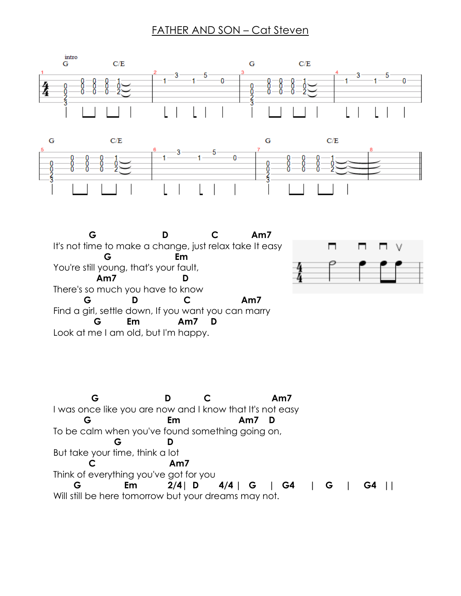## FATHER AND SON – Cat Steven





 **G D C Am7** It's not time to make a change, just relax take It easy  **G Em** You're still young, that's your fault,  **Am7 D** There's so much you have to know  **G D C Am7**  Find a girl, settle down, If you want you can marry  **G Em Am7 D**  Look at me I am old, but I'm happy.



 **G D C Am7**  I was once like you are now and I know that It's not easy  **G Em Am7 D**  To be calm when you've found something going on,  **G D**  But take your time, think a lot  **C Am7**  Think of everything you've got for you  **G Em 2/4| D 4/4 | G | G4 | G | G4 ||**  Will still be here tomorrow but your dreams may not.